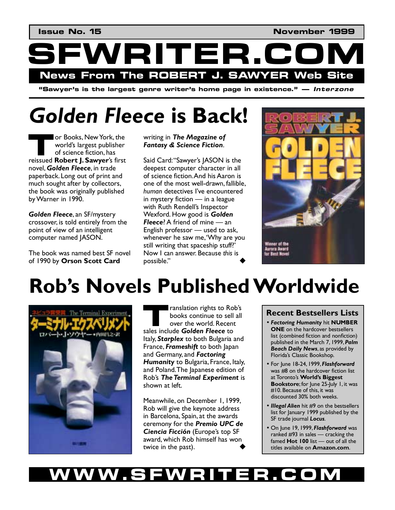

**"S**awyer's is the largest genre writer's home page in existence." — *Interzone* 

# *Golden Fleece* **is Back!**

or Books, New York, the world's largest publisher of science fiction, has **referred** or Books, New York, the world's largest publisher of science fiction, has reissued **Robert J. Sawyer**'s first novel, *Golden Fleece*, in trade paperback. Long out of print and much sought after by collectors, the book was originally published by Warner in 1990.

*Golden Fleece*, an SF/mystery crossover, is told entirely from the point of view of an intelligent computer named JASON.

The book was named best SF novel of 1990 by **Orson Scott Card**

writing in *The Magazine of Fantasy & Science Fiction*.

Said Card: "Sawyer's JASON is the deepest computer character in all of science fiction. And his Aaron is one of the most well-drawn, fallible, human detectives I've encountered in mystery fiction  $-$  in a league with Ruth Rendell's Inspector Wexford. How good is *Golden*  **Fleece**? A friend of mine — an English professor  $-$  used to ask, whenever he saw me, 'Why are you still writing that spaceship stuff?' Now I can answer. Because *this* is possible."



# **Robís Novels Published Worldwide**



ranslation rights to Rob's books continue to sell all over the world. Recent **Example 12 Secondition** rights to Rol books continue to sell over the world. Recent sales include **Golden Fleece** to Italy, *Starplex* to both Bulgaria and France, *Frameshift* to both Japan and Germany, and *Factoring*  **Humanity** to Bulgaria, France, Italy, and Poland. The Japanese edition of Robís *The Terminal Experiment* is shown at left.

Meanwhile, on December 1, 1999, Rob will give the keynote address in Barcelona, Spain, at the awards ceremony for the *Premio UPC de*  **Ciencia Ficción** (Europe's top SF award, which Rob himself has won twice in the past).

### **Recent Bestsellers Lists**

- *Factoring Humanity* hit **NUMBER ONE** on the hardcover bestsellers list (combined fiction and nonfiction) published in the March 7, 1999, *Palm Beach Daily News*, as provided by Floridaís Classic Bookshop.
- For June 18-24, 1999, *Flashforward* was #8 on the hardcover fiction list at Torontoís **Worldís Biggest Bookstore**; for June 25-July 1, it was #10. Because of this, it was discounted 30% both weeks.
- *Illegal Alien* hit #9 on the bestsellers list for January 1999 published by the SF trade journal *Locus*.
- On June 19, 1999, *Flashforward* was ranked  $#93$  in sales  $-$  cracking the famed **Hot 100** list – out of all the titles available on **Amazon.com**.

## WW.SFWRITER.CO